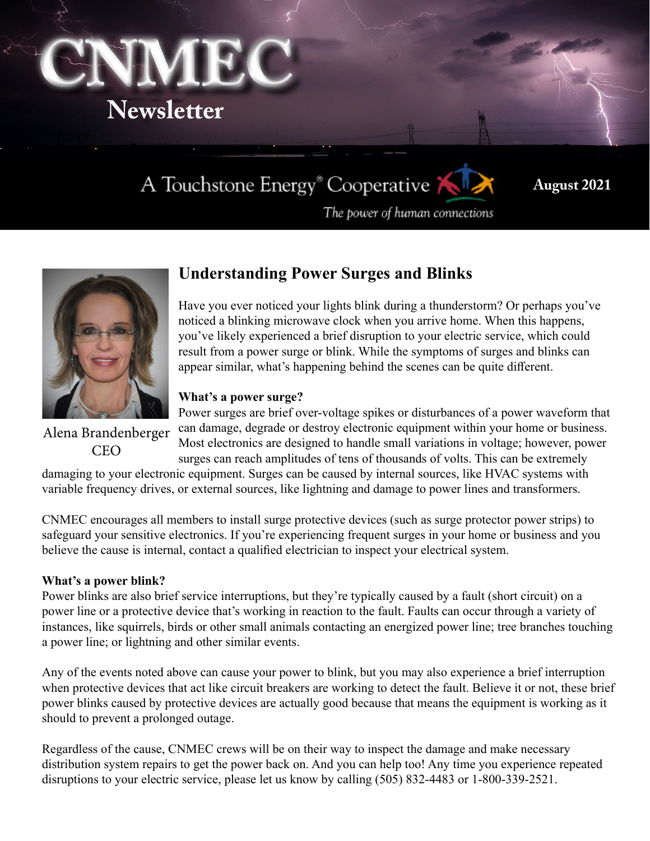

# A Touchstone Energy® Cooperative

**August 2021**

The power of human connections



## **Understanding Power Surges and Blinks**

Have you ever noticed your lights blink during a thunderstorm? Or perhaps you've noticed a blinking microwave clock when you arrive home. When this happens, you've likely experienced a brief disruption to your electric service, which could result from a power surge or blink. While the symptoms of surges and blinks can appear similar, what's happening behind the scenes can be quite different.

### **What's a power surge?**

Alena Brandenberger CEO

Power surges are brief over-voltage spikes or disturbances of a power waveform that can damage, degrade or destroy electronic equipment within your home or business. Most electronics are designed to handle small variations in voltage; however, power surges can reach amplitudes of tens of thousands of volts. This can be extremely

damaging to your electronic equipment. Surges can be caused by internal sources, like HVAC systems with variable frequency drives, or external sources, like lightning and damage to power lines and transformers.

CNMEC encourages all members to install surge protective devices (such as surge protector power strips) to safeguard your sensitive electronics. If you're experiencing frequent surges in your home or business and you believe the cause is internal, contact a qualified electrician to inspect your electrical system.

### **What's a power blink?**

Power blinks are also brief service interruptions, but they're typically caused by a fault (short circuit) on a power line or a protective device that's working in reaction to the fault. Faults can occur through a variety of instances, like squirrels, birds or other small animals contacting an energized power line; tree branches touching a power line; or lightning and other similar events.

Any of the events noted above can cause your power to blink, but you may also experience a brief interruption when protective devices that act like circuit breakers are working to detect the fault. Believe it or not, these brief power blinks caused by protective devices are actually good because that means the equipment is working as it should to prevent a prolonged outage.

Regardless of the cause, CNMEC crews will be on their way to inspect the damage and make necessary distribution system repairs to get the power back on. And you can help too! Any time you experience repeated disruptions to your electric service, please let us know by calling (505) 832-4483 or 1-800-339-2521.